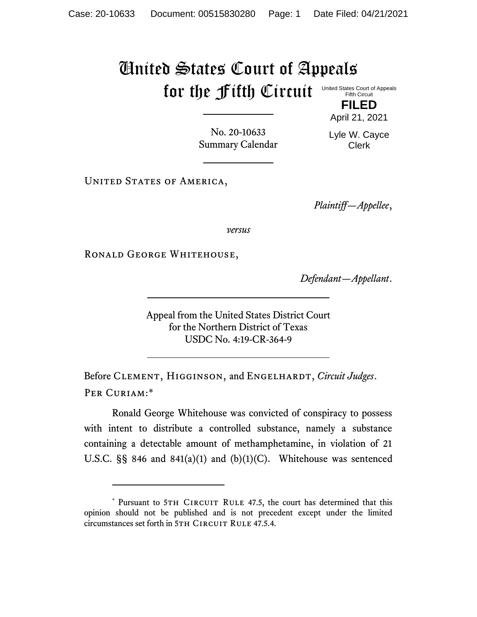## United States Court of Appeals for the Fifth Circuit United States Court of Appeals Fifth Circuit

**FILED** April 21, 2021

No. 20-10633 Summary Calendar Lyle W. Cayce Clerk

UNITED STATES OF AMERICA,

*Plaintiff—Appellee*,

*versus*

RONALD GEORGE WHITEHOUSE,

*Defendant—Appellant*.

Appeal from the United States District Court for the Northern District of Texas USDC No. 4:19-CR-364-9

Before Clement, Higginson, and Engelhardt, *Circuit Judges*. Per Curiam:\*

Ronald George Whitehouse was convicted of conspiracy to possess with intent to distribute a controlled substance, namely a substance containing a detectable amount of methamphetamine, in violation of 21 U.S.C.  $\S$ § 846 and 841(a)(1) and (b)(1)(C). Whitehouse was sentenced

<sup>\*</sup> Pursuant to 5TH CIRCUIT RULE 47.5, the court has determined that this opinion should not be published and is not precedent except under the limited circumstances set forth in 5TH CIRCUIT RULE 47.5.4.